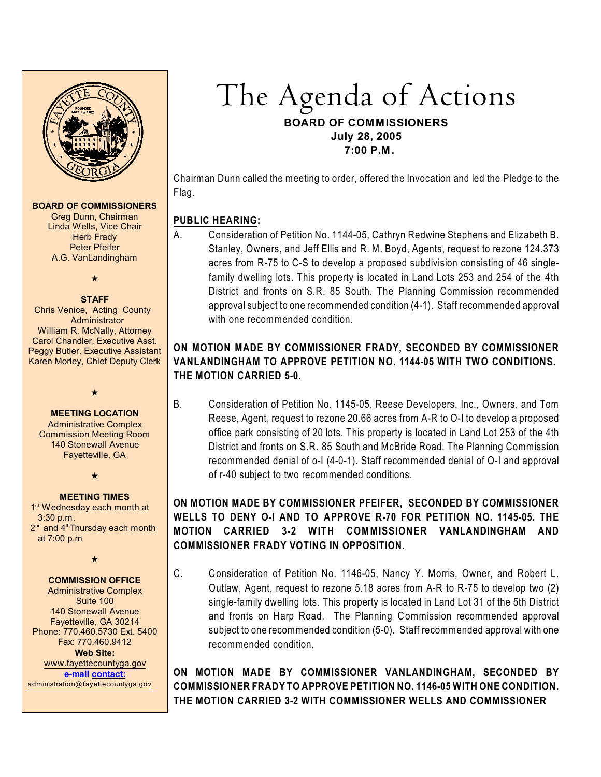

#### **BOARD OF COMMISSIONERS**

Greg Dunn, Chairman Linda Wells, Vice Chair **Herb Frady** Peter Pfeifer A.G. VanLandingham

 $\star$ 

#### **STAFF**

 Chris Venice, Acting County **Administrator** William R. McNally, Attorney Carol Chandler, Executive Asst. Peggy Butler, Executive Assistant Karen Morley, Chief Deputy Clerk

#### **MEETING LOCATION**

 $\star$ 

Administrative Complex Commission Meeting Room 140 Stonewall Avenue Fayetteville, GA

 $\star$ 

#### **MEETING TIMES**

1<sup>st</sup> Wednesday each month at 3:30 p.m.  $2<sup>nd</sup>$  and  $4<sup>th</sup>$ Thursday each month at 7:00 p.m

 $\star$ 

#### **COMMISSION OFFICE**

Administrative Complex Suite 100 140 Stonewall Avenue Fayetteville, GA 30214 Phone: 770.460.5730 Ext. 5400 Fax: 770.460.9412 **Web Site:** [www.fayettecountyga.gov](http://www.admin.co.fayette.ga.us) **e-mail [contact:](mailto:administration@fayettecountyga.gov)** [administration@fayettecountyga.gov](mailto:administration@fayettecountyga.gov)

The Agenda of Actions **BOARD OF COMMISSIONERS July 28, 2005 7:00 P.M.**

Chairman Dunn called the meeting to order, offered the Invocation and led the Pledge to the Flag.

# **PUBLIC HEARING:**

A. Consideration of Petition No. 1144-05, Cathryn Redwine Stephens and Elizabeth B. Stanley, Owners, and Jeff Ellis and R. M. Boyd, Agents, request to rezone 124.373 acres from R-75 to C-S to develop a proposed subdivision consisting of 46 singlefamily dwelling lots. This property is located in Land Lots 253 and 254 of the 4th District and fronts on S.R. 85 South. The Planning Commission recommended approval subject to one recommended condition (4-1). Staff recommended approval with one recommended condition.

# **ON MOTION MADE BY COMMISSIONER FRADY, SECONDED BY COMMISSIONER VANLANDINGHAM TO APPROVE PETITION NO. 1144-05 WITH TWO CONDITIONS. THE MOTION CARRIED 5-0.**

B. Consideration of Petition No. 1145-05, Reese Developers, Inc., Owners, and Tom Reese, Agent, request to rezone 20.66 acres from A-R to O-I to develop a proposed office park consisting of 20 lots. This property is located in Land Lot 253 of the 4th District and fronts on S.R. 85 South and McBride Road. The Planning Commission recommended denial of o-I (4-0-1). Staff recommended denial of O-I and approval of r-40 subject to two recommended conditions.

# **ON MOTION MADE BY COMMISSIONER PFEIFER, SECONDED BY COMMISSIONER WELLS TO DENY O-I AND TO APPROVE R-70 FOR PETITION NO. 1145-05. THE MOTION CARRIED 3-2 WITH COMMISSIONER VANLANDINGHAM AND COMMISSIONER FRADY VOTING IN OPPOSITION.**

C. Consideration of Petition No. 1146-05, Nancy Y. Morris, Owner, and Robert L. Outlaw, Agent, request to rezone 5.18 acres from A-R to R-75 to develop two (2) single-family dwelling lots. This property is located in Land Lot 31 of the 5th District and fronts on Harp Road. The Planning Commission recommended approval subject to one recommended condition (5-0). Staff recommended approval with one recommended condition.

**ON MOTION MADE BY COMMISSIONER VANLANDINGHAM, SECONDED BY COMMISSIONER FRADY TO APPROVE PETITION NO. 1146-05 WITH ONE CONDITION. THE MOTION CARRIED 3-2 WITH COMMISSIONER WELLS AND COMMISSIONER**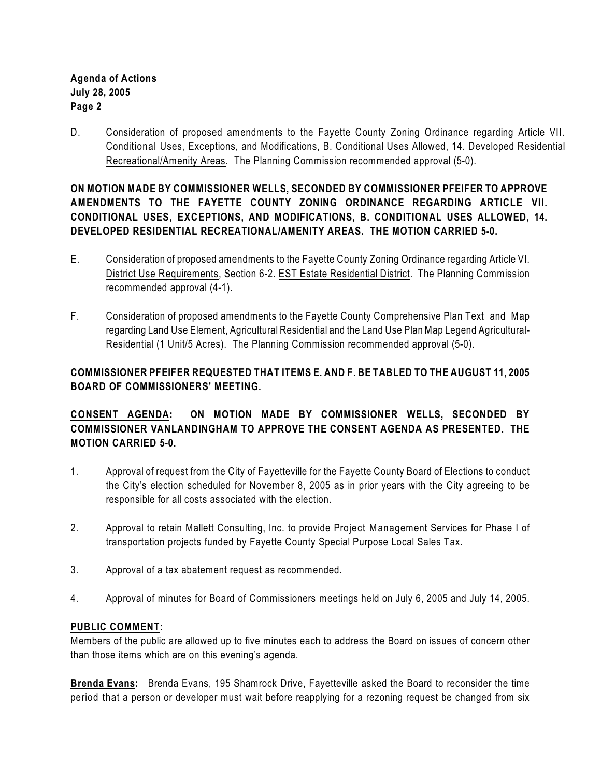**Agenda of Actions July 28, 2005 Page 2**

D. Consideration of proposed amendments to the Fayette County Zoning Ordinance regarding Article VII. Conditional Uses, Exceptions, and Modifications, B. Conditional Uses Allowed, 14. Developed Residential Recreational/Amenity Areas. The Planning Commission recommended approval (5-0).

**ON MOTION MADE BY COMMISSIONER WELLS, SECONDED BY COMMISSIONER PFEIFER TO APPROVE AMENDMENTS TO THE FAYETTE COUNTY ZONING ORDINANCE REGARDING ARTICLE VII. CONDITIONAL USES, EXCEPTIONS, AND MODIFICATIONS, B. CONDITIONAL USES ALLOWED, 14. DEVELOPED RESIDENTIAL RECREATIONAL/AMENITY AREAS. THE MOTION CARRIED 5-0.**

- E. Consideration of proposed amendments to the Fayette County Zoning Ordinance regarding Article VI. District Use Requirements, Section 6-2. EST Estate Residential District. The Planning Commission recommended approval (4-1).
- F. Consideration of proposed amendments to the Fayette County Comprehensive Plan Text and Map regarding Land Use Element, Agricultural Residential and the Land Use PlanMap Legend Agricultural-Residential (1 Unit/5 Acres). The Planning Commission recommended approval (5-0).

# **COMMISSIONER PFEIFER REQUESTED THAT ITEMS E. AND F. BE TABLED TO THE AUGUST 11, 2005 BOARD OF COMMISSIONERS' MEETING.**

# **CONSENT AGENDA: ON MOTION MADE BY COMMISSIONER WELLS, SECONDED BY COMMISSIONER VANLANDINGHAM TO APPROVE THE CONSENT AGENDA AS PRESENTED. THE MOTION CARRIED 5-0.**

- 1. Approval of request from the City of Fayetteville for the Fayette County Board of Elections to conduct the City's election scheduled for November 8, 2005 as in prior years with the City agreeing to be responsible for all costs associated with the election.
- 2. Approval to retain Mallett Consulting, Inc. to provide Project Management Services for Phase I of transportation projects funded by Fayette County Special Purpose Local Sales Tax.
- 3. Approval of a tax abatement request as recommended**.**
- 4. Approval of minutes for Board of Commissioners meetings held on July 6, 2005 and July 14, 2005.

### **PUBLIC COMMENT:**

Members of the public are allowed up to five minutes each to address the Board on issues of concern other than those items which are on this evening's agenda.

**Brenda Evans:** Brenda Evans, 195 Shamrock Drive, Fayetteville asked the Board to reconsider the time period that a person or developer must wait before reapplying for a rezoning request be changed from six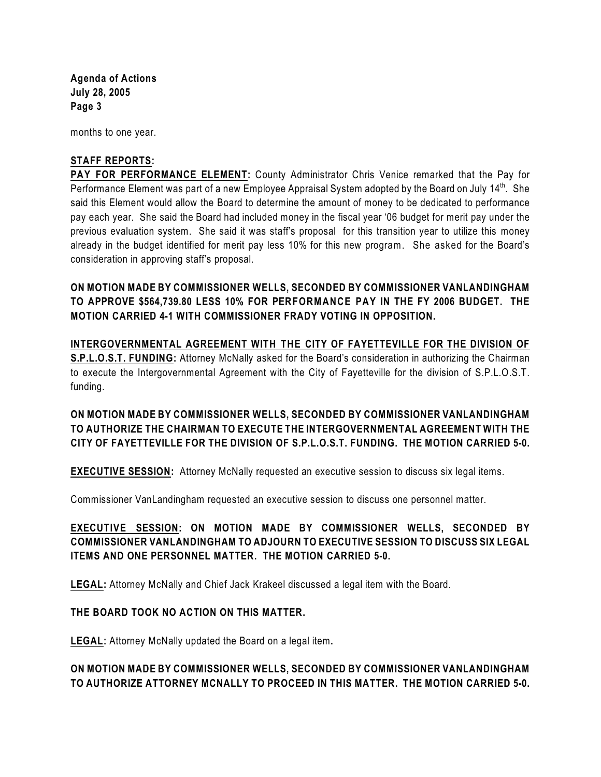**Agenda of Actions July 28, 2005 Page 3**

months to one year.

### **STAFF REPORTS:**

**PAY FOR PERFORMANCE ELEMENT:** County Administrator Chris Venice remarked that the Pay for Performance Element was part of a new Employee Appraisal System adopted by the Board on July 14<sup>th</sup>. She said this Element would allow the Board to determine the amount of money to be dedicated to performance pay each year. She said the Board had included money in the fiscal year '06 budget for merit pay under the previous evaluation system. She said it was staff's proposal for this transition year to utilize this money already in the budget identified for merit pay less 10% for this new program. She asked for the Board's consideration in approving staff's proposal.

**ON MOTION MADE BY COMMISSIONER WELLS, SECONDED BY COMMISSIONER VANLANDINGHAM TO APPROVE \$564,739.80 LESS 10% FOR PERFORMANCE PAY IN THE FY 2006 BUDGET. THE MOTION CARRIED 4-1 WITH COMMISSIONER FRADY VOTING IN OPPOSITION.**

**INTERGOVERNMENTAL AGREEMENT WITH THE CITY OF FAYETTEVILLE FOR THE DIVISION OF S.P.L.O.S.T. FUNDING:** Attorney McNally asked for the Board's consideration in authorizing the Chairman to execute the Intergovernmental Agreement with the City of Fayetteville for the division of S.P.L.O.S.T. funding.

**ON MOTION MADE BY COMMISSIONER WELLS, SECONDED BY COMMISSIONER VANLANDINGHAM TO AUTHORIZE THE CHAIRMAN TO EXECUTE THE INTERGOVERNMENTAL AGREEMENT WITH THE CITY OF FAYETTEVILLE FOR THE DIVISION OF S.P.L.O.S.T. FUNDING. THE MOTION CARRIED 5-0.**

**EXECUTIVE SESSION:** Attorney McNally requested an executive session to discuss six legal items.

Commissioner VanLandingham requested an executive session to discuss one personnel matter.

# **EXECUTIVE SESSION: ON MOTION MADE BY COMMISSIONER WELLS, SECONDED BY COMMISSIONER VANLANDINGHAM TO ADJOURN TO EXECUTIVE SESSION TO DISCUSS SIX LEGAL ITEMS AND ONE PERSONNEL MATTER. THE MOTION CARRIED 5-0.**

**LEGAL:** Attorney McNally and Chief Jack Krakeel discussed a legal item with the Board.

#### **THE BOARD TOOK NO ACTION ON THIS MATTER.**

**LEGAL:** Attorney McNally updated the Board on a legal item**.**

# **ON MOTION MADE BY COMMISSIONER WELLS, SECONDED BY COMMISSIONER VANLANDINGHAM TO AUTHORIZE ATTORNEY MCNALLY TO PROCEED IN THIS MATTER. THE MOTION CARRIED 5-0.**